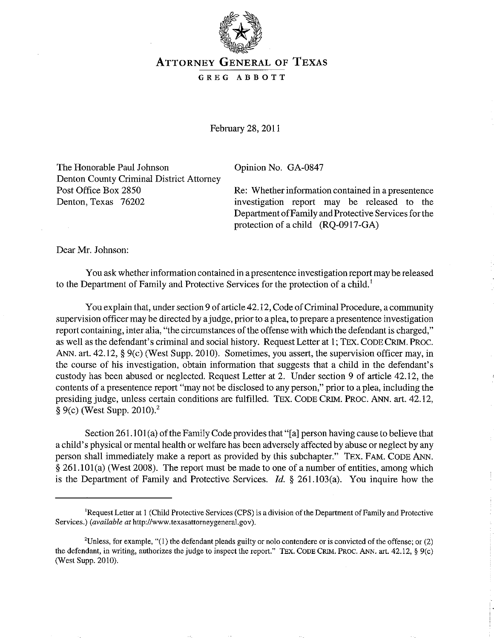

## ATTORNEY GENERAL OF TEXAS

## GREG ABBOTT

February 28, 2011

The Honorable Paul Johnson Denton County Criminal District Attorney Post Office Box 2850 Denton, Texas 76202

Opinion No. GA-0847

Re: Whether information contained in a presentence investigation report may be released to the Department of Family and Protective Services for the protection of a child (RQ-0917-GA)

Dear Mr. Johnson:

You ask whether information contained in a presentence investigation report may be released to the Department of Family and Protective Services for the protection of a child.'

You explain that, under section 9 of article 42.12, Code of Criminal Procedure, a community supervision officer may be directed by a judge, prior to a plea, to prepare a presentence investigation report containing, inter alia, "the circumstances of the offense with which the defendant is charged," as well as the defendant's criminal and social history. Request Letter at I; TEX. CODE CRIM. PROC. ANN. art. 42.12, § 9(c) (West Supp. 2010). Sometimes, you assert, the supervision officer may, in the course of his investigation, obtain information that suggests that a child in the defendant's custody has been abused or neglected. Request Letter at 2. Under section 9 of article 42.12, the contents of a presentence report "may not be disclosed to any person," prior to a plea, including the presiding judge, unless certain conditions are fulfilled. TEX. CODE CRIM. PROC. ANN. art. 42.12,  $§ 9(c)$  (West Supp. 2010).<sup>2</sup>

Section 261.101(a) of the Family Code provides that "[a] person having cause to believe that a child's physical or mental health or welfare has been adversely affected by abuse or neglect by any person shall immediately make a report as provided by this subchapter." TEX. FAM. CODE ANN. § 261.101(a) (West 2008). The report must be made to one of a number of entities, among which is the Department of Family and Protective Services. *ld.* § 261.103(a). You inquire how the

<sup>&#</sup>x27;Request Letter at 1 (Child Protective Services (CPS) is a division of the Department of Family and Protective Services.) *(available at* http://www.texasattorneygeneral.gov).

<sup>&</sup>lt;sup>2</sup>Unless, for example, "(1) the defendant pleads guilty or nolo contendere or is convicted of the offense; or (2) the defendant, in writing, authorizes the judge to inspect the report." TEx. CODE CRIM. PROC. ANN. art. 42.12, § 9(c) (West Supp. 2010).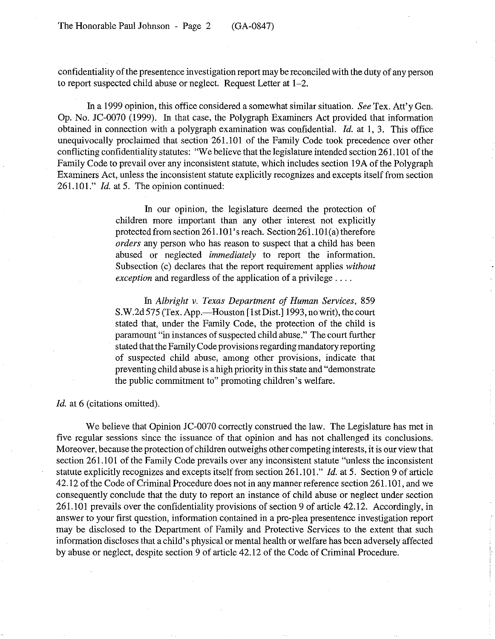confidentiality of the presentence investigation report may be reconciled with the duty of any person to report suspected child abuse or neglect. Request Letter at 1-2.

In a 1999 opinion, this office considered a somewhat similar situation. *See* Tex. Att'y Gen. Op. No. JC-0070 (1999). In that case, the Polygraph Examiners Act provided that information obtained in connection with a polygraph examination was confidential.  $Id$ . at 1, 3. This office unequivocally proclaimed that section 261.101 of the Family Code took precedence over other conflicting confidentiality statutes: "We believe that the legislature intended section 261.101 of the Family Code to prevail over any inconsistent statute, which includes section 19A of the Polygraph Examiners Act, unless the inconsistent statute explicitly recognizes and excepts itself from section 261.101." *Id.* at 5. The opinion continued:

> In our opinion, the legislature deemed the protection of children more important than any other interest not explicitly protected from section 261.101's reach. Section 261.101(a) therefore *orders* any person who has reason to suspect that a child has been abused or neglected *immediately* to report the information. Subsection (c) declares that the report requirement applies *without exception* and regardless of the application of a privilege ....

> In *Albright v. Texas Department of Human Services, 859*  S.W.2d 575 (Tex. App.—Houston [1st Dist.] 1993, no writ), the court stated that, under the Family Code, the protection of the child is paramount "in instances of suspected child abuse." The court further stated that the Family Code provisions regarding mandatory reporting of suspected child abuse, among other provisions, indicate that preventing child abuse is a high priority in this state and "demonstrate the public commitment to" promoting children's welfare.

Id. at 6 (citations omitted).

We believe that Opinion JC-0070 correctly construed the law. The Legislature has met in five regular sessions since the issuance of that opinion and has not challenged its conclusions. Moreover, because the protection of children outweighs other competing interests, it is our view that section 261.101 of the Family Code prevails over any inconsistent statute "unless the inconsistent statute explicitly recognizes and excepts itself from section 261.101." Id. at 5. Section 9 of article 42.12 of the Code of Criminal Procedure does not in any manner reference section 261.101, and we consequently conclude that the duty to report an instance of child abuse or neglect under section 261.101 prevails over the confidentiality provisions of section 9 of article 42.12. Accordingly, in answer to your first question, information contained in a pre-plea presentence investigation report may be disclosed to the Department of Family and Protective Services to the extent that such information discloses that a child's physical or mental health or welfare has been adversely affected by abuse or neglect, despite section 9 of article 42.12 of the Code of Criminal Procedure.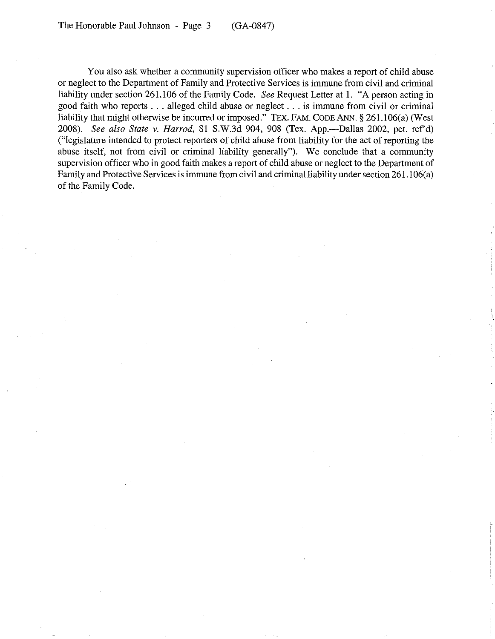You also ask whether a community supervision officer who makes a report of child abuse or neglect to the Department of Family and Protective Services is immune from civil and criminal liability under section 261.106 of the Family Code. *See* Request Letter at 1. "A person acting in good faith who reports ... alleged child abuse or neglect ... is immune from civil or criminal liability that might otherwise be incurred or imposed." TEX. FAM. CODE ANN,  $\S 261.106(a)$  (West 200S). *See also State* v. *Harrod,* SI S.W.3d 904, 90S (Tex. App.-Dallas 2002, pet. ref'd) ("legislature intended to protect reporters of child abuse from liability for the act of reporting the abuse itself, not from civil or criminal liability generally"). We conclude that a community supervision officer who in good faith makes a report of child abuse or neglect to the Department of Family and Protective Services is immune from civil and criminal liability under section 261.106(a) of the Family Code.